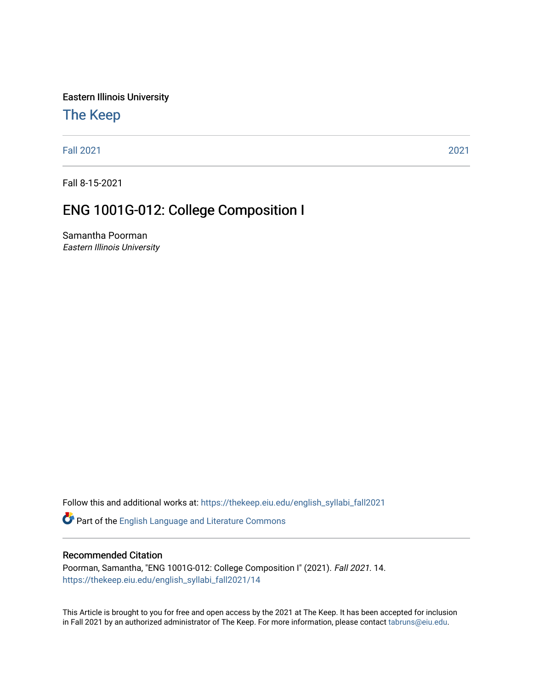Eastern Illinois University

# [The Keep](https://thekeep.eiu.edu/)

[Fall 2021](https://thekeep.eiu.edu/english_syllabi_fall2021) [2021](https://thekeep.eiu.edu/english_syllabi2021) 

Fall 8-15-2021

# ENG 1001G-012: College Composition I

Samantha Poorman Eastern Illinois University

Follow this and additional works at: [https://thekeep.eiu.edu/english\\_syllabi\\_fall2021](https://thekeep.eiu.edu/english_syllabi_fall2021?utm_source=thekeep.eiu.edu%2Fenglish_syllabi_fall2021%2F14&utm_medium=PDF&utm_campaign=PDFCoverPages) 

Part of the [English Language and Literature Commons](http://network.bepress.com/hgg/discipline/455?utm_source=thekeep.eiu.edu%2Fenglish_syllabi_fall2021%2F14&utm_medium=PDF&utm_campaign=PDFCoverPages)

#### Recommended Citation

Poorman, Samantha, "ENG 1001G-012: College Composition I" (2021). Fall 2021. 14. [https://thekeep.eiu.edu/english\\_syllabi\\_fall2021/14](https://thekeep.eiu.edu/english_syllabi_fall2021/14?utm_source=thekeep.eiu.edu%2Fenglish_syllabi_fall2021%2F14&utm_medium=PDF&utm_campaign=PDFCoverPages)

This Article is brought to you for free and open access by the 2021 at The Keep. It has been accepted for inclusion in Fall 2021 by an authorized administrator of The Keep. For more information, please contact [tabruns@eiu.edu](mailto:tabruns@eiu.edu).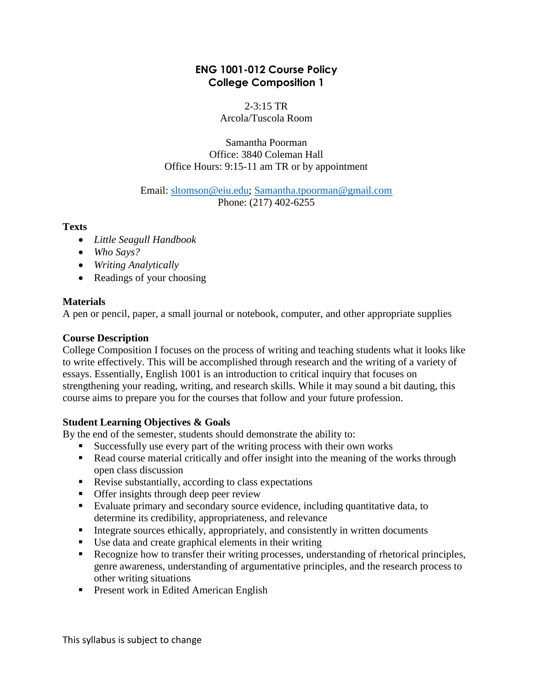# **ENG 1001-012 Course Policy College Composition 1**

 $2 - 3:15$  TR Arcola/Tuscola Room

Samantha Poorman Office: 3840 Coleman Hall Office Hours: 9:15-11 am TR or by appointment

Email: [sltomson@eiu.edu;](mailto:sltomson@eiu.edu) [Samantha.tpoorman@gmail.com](mailto:Samantha.tpoorman@gmail.com) Phone: (217) 402-6255

**Texts** 

- *Little Seagull Handbook*
- *Who Says?*
- *Writing Analytically*
- Readings of your choosing

# **Materials**

A pen or pencil, paper, a small journal or notebook, computer, and other appropriate supplies

# **Course Description**

College Composition I focuses on the process of writing and teaching students what it looks like to write effectively. This will be accomplished through research and the writing of a variety of essays. Essentially, English 1001 is an introduction to critical inquiry that focuses on strengthening your reading, writing, and research skills. While it may sound a bit dauting, this course aims to prepare you for the courses that follow and your future profession.

# **Student Learning Objectives & Goals**

By the end of the semester, students should demonstrate the ability to:

- Successfully use every part of the writing process with their own works
- Read course material critically and offer insight into the meaning of the works through open class discussion
- Revise substantially, according to class expectations
- **•** Offer insights through deep peer review
- Evaluate primary and secondary source evidence, including quantitative data, to determine its credibility, appropriateness, and relevance
- Integrate sources ethically, appropriately, and consistently in written documents
- Use data and create graphical elements in their writing
- Recognize how to transfer their writing processes, understanding of rhetorical principles, genre awareness, understanding of argumentative principles, and the research process to other writing situations
- **Present work in Edited American English**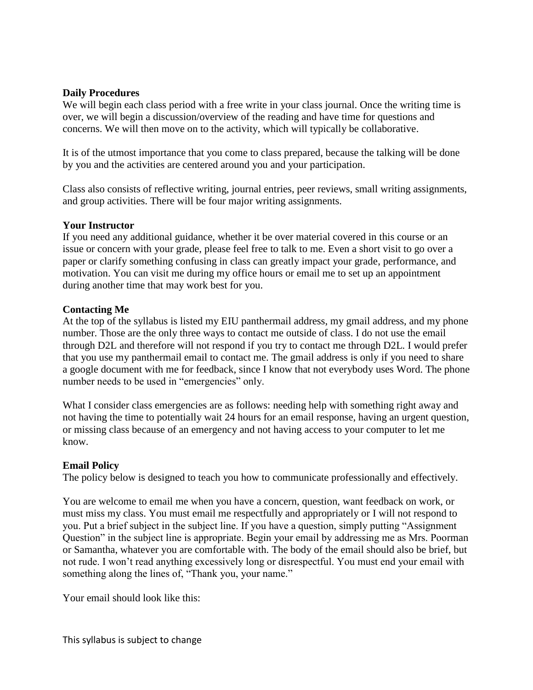## **Daily Procedures**

We will begin each class period with a free write in your class journal. Once the writing time is over, we will begin a discussion/overview of the reading and have time for questions and concerns. We will then move on to the activity, which will typically be collaborative.

It is of the utmost importance that you come to class prepared, because the talking will be done by you and the activities are centered around you and your participation.

Class also consists of reflective writing, journal entries, peer reviews, small writing assignments, and group activities. There will be four major writing assignments.

### **Your Instructor**

If you need any additional guidance, whether it be over material covered in this course or an issue or concern with your grade, please feel free to talk to me. Even a short visit to go over a paper or clarify something confusing in class can greatly impact your grade, performance, and motivation. You can visit me during my office hours or email me to set up an appointment during another time that may work best for you.

# **Contacting Me**

At the top of the syllabus is listed my EIU panthermail address, my gmail address, and my phone number. Those are the only three ways to contact me outside of class. I do not use the email through D2L and therefore will not respond if you try to contact me through D2L. I would prefer that you use my panthermail email to contact me. The gmail address is only if you need to share a google document with me for feedback, since I know that not everybody uses Word. The phone number needs to be used in "emergencies" only.

What I consider class emergencies are as follows: needing help with something right away and not having the time to potentially wait 24 hours for an email response, having an urgent question, or missing class because of an emergency and not having access to your computer to let me know.

### **Email Policy**

The policy below is designed to teach you how to communicate professionally and effectively.

You are welcome to email me when you have a concern, question, want feedback on work, or must miss my class. You must email me respectfully and appropriately or I will not respond to you. Put a brief subject in the subject line. If you have a question, simply putting "Assignment Question" in the subject line is appropriate. Begin your email by addressing me as Mrs. Poorman or Samantha, whatever you are comfortable with. The body of the email should also be brief, but not rude. I won't read anything excessively long or disrespectful. You must end your email with something along the lines of, "Thank you, your name."

Your email should look like this: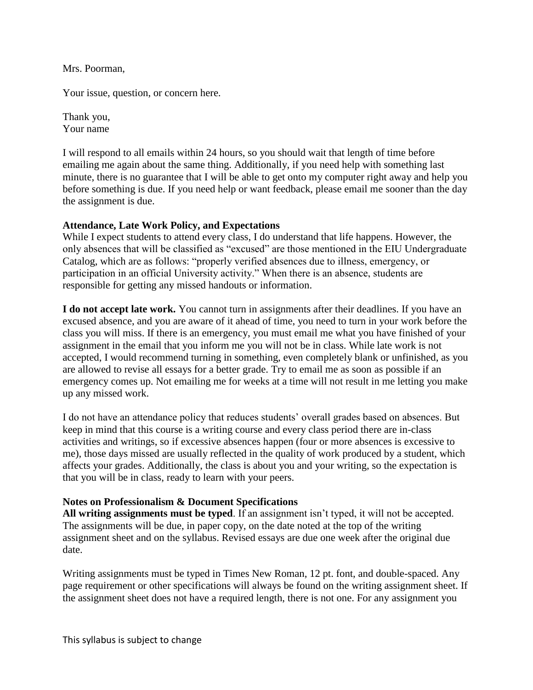Mrs. Poorman,

Your issue, question, or concern here.

Thank you, Your name

I will respond to all emails within 24 hours, so you should wait that length of time before emailing me again about the same thing. Additionally, if you need help with something last minute, there is no guarantee that I will be able to get onto my computer right away and help you before something is due. If you need help or want feedback, please email me sooner than the day the assignment is due.

# **Attendance, Late Work Policy, and Expectations**

While I expect students to attend every class, I do understand that life happens. However, the only absences that will be classified as "excused" are those mentioned in the EIU Undergraduate Catalog, which are as follows: "properly verified absences due to illness, emergency, or participation in an official University activity." When there is an absence, students are responsible for getting any missed handouts or information.

**I do not accept late work.** You cannot turn in assignments after their deadlines. If you have an excused absence, and you are aware of it ahead of time, you need to turn in your work before the class you will miss. If there is an emergency, you must email me what you have finished of your assignment in the email that you inform me you will not be in class. While late work is not accepted, I would recommend turning in something, even completely blank or unfinished, as you are allowed to revise all essays for a better grade. Try to email me as soon as possible if an emergency comes up. Not emailing me for weeks at a time will not result in me letting you make up any missed work.

I do not have an attendance policy that reduces students' overall grades based on absences. But keep in mind that this course is a writing course and every class period there are in-class activities and writings, so if excessive absences happen (four or more absences is excessive to me), those days missed are usually reflected in the quality of work produced by a student, which affects your grades. Additionally, the class is about you and your writing, so the expectation is that you will be in class, ready to learn with your peers.

# **Notes on Professionalism & Document Specifications**

**All writing assignments must be typed**. If an assignment isn't typed, it will not be accepted. The assignments will be due, in paper copy, on the date noted at the top of the writing assignment sheet and on the syllabus. Revised essays are due one week after the original due date.

Writing assignments must be typed in Times New Roman, 12 pt. font, and double-spaced. Any page requirement or other specifications will always be found on the writing assignment sheet. If the assignment sheet does not have a required length, there is not one. For any assignment you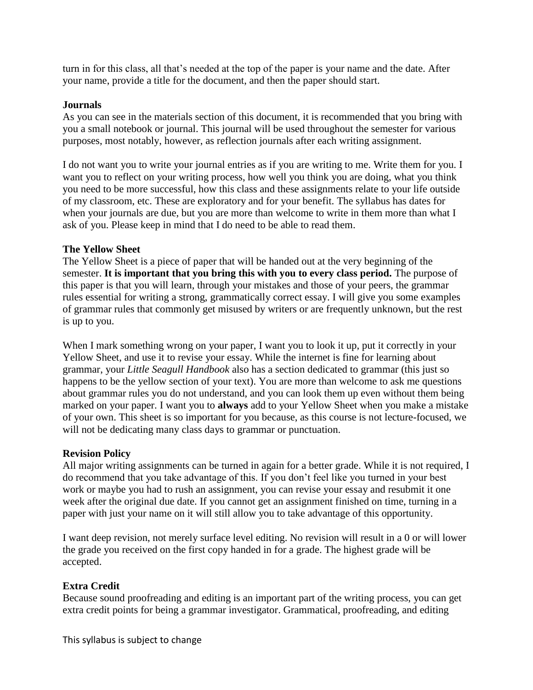turn in for this class, all that's needed at the top of the paper is your name and the date. After your name, provide a title for the document, and then the paper should start.

### **Journals**

As you can see in the materials section of this document, it is recommended that you bring with you a small notebook or journal. This journal will be used throughout the semester for various purposes, most notably, however, as reflection journals after each writing assignment.

I do not want you to write your journal entries as if you are writing to me. Write them for you. I want you to reflect on your writing process, how well you think you are doing, what you think you need to be more successful, how this class and these assignments relate to your life outside of my classroom, etc. These are exploratory and for your benefit. The syllabus has dates for when your journals are due, but you are more than welcome to write in them more than what I ask of you. Please keep in mind that I do need to be able to read them.

#### **The Yellow Sheet**

The Yellow Sheet is a piece of paper that will be handed out at the very beginning of the semester. **It is important that you bring this with you to every class period.** The purpose of this paper is that you will learn, through your mistakes and those of your peers, the grammar rules essential for writing a strong, grammatically correct essay. I will give you some examples of grammar rules that commonly get misused by writers or are frequently unknown, but the rest is up to you.

When I mark something wrong on your paper, I want you to look it up, put it correctly in your Yellow Sheet, and use it to revise your essay. While the internet is fine for learning about grammar, your *Little Seagull Handbook* also has a section dedicated to grammar (this just so happens to be the yellow section of your text). You are more than welcome to ask me questions about grammar rules you do not understand, and you can look them up even without them being marked on your paper. I want you to **always** add to your Yellow Sheet when you make a mistake of your own. This sheet is so important for you because, as this course is not lecture-focused, we will not be dedicating many class days to grammar or punctuation.

### **Revision Policy**

All major writing assignments can be turned in again for a better grade. While it is not required, I do recommend that you take advantage of this. If you don't feel like you turned in your best work or maybe you had to rush an assignment, you can revise your essay and resubmit it one week after the original due date. If you cannot get an assignment finished on time, turning in a paper with just your name on it will still allow you to take advantage of this opportunity.

I want deep revision, not merely surface level editing. No revision will result in a 0 or will lower the grade you received on the first copy handed in for a grade. The highest grade will be accepted.

#### **Extra Credit**

Because sound proofreading and editing is an important part of the writing process, you can get extra credit points for being a grammar investigator. Grammatical, proofreading, and editing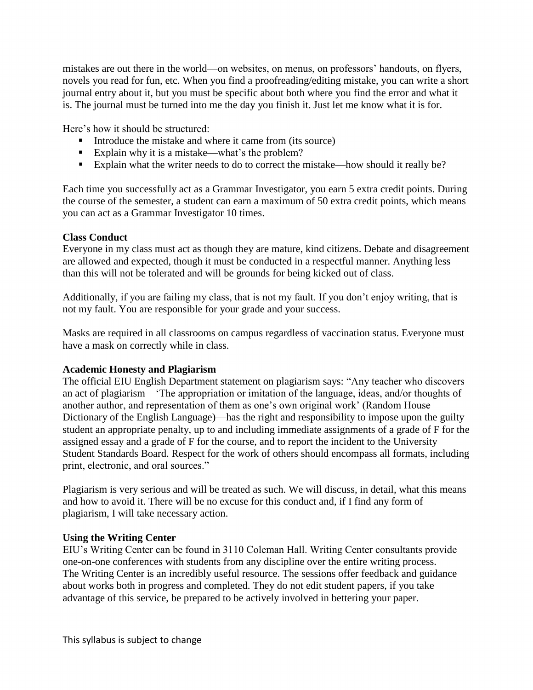mistakes are out there in the world—on websites, on menus, on professors' handouts, on flyers, novels you read for fun, etc. When you find a proofreading/editing mistake, you can write a short journal entry about it, but you must be specific about both where you find the error and what it is. The journal must be turned into me the day you finish it. Just let me know what it is for.

Here's how it should be structured:

- Introduce the mistake and where it came from (its source)
- Explain why it is a mistake—what's the problem?
- Explain what the writer needs to do to correct the mistake—how should it really be?

Each time you successfully act as a Grammar Investigator, you earn 5 extra credit points. During the course of the semester, a student can earn a maximum of 50 extra credit points, which means you can act as a Grammar Investigator 10 times.

# **Class Conduct**

Everyone in my class must act as though they are mature, kind citizens. Debate and disagreement are allowed and expected, though it must be conducted in a respectful manner. Anything less than this will not be tolerated and will be grounds for being kicked out of class.

Additionally, if you are failing my class, that is not my fault. If you don't enjoy writing, that is not my fault. You are responsible for your grade and your success.

Masks are required in all classrooms on campus regardless of vaccination status. Everyone must have a mask on correctly while in class.

# **Academic Honesty and Plagiarism**

The official EIU English Department statement on plagiarism says: "Any teacher who discovers an act of plagiarism—'The appropriation or imitation of the language, ideas, and/or thoughts of another author, and representation of them as one's own original work' (Random House Dictionary of the English Language)—has the right and responsibility to impose upon the guilty student an appropriate penalty, up to and including immediate assignments of a grade of F for the assigned essay and a grade of F for the course, and to report the incident to the University Student Standards Board. Respect for the work of others should encompass all formats, including print, electronic, and oral sources."

Plagiarism is very serious and will be treated as such. We will discuss, in detail, what this means and how to avoid it. There will be no excuse for this conduct and, if I find any form of plagiarism, I will take necessary action.

# **Using the Writing Center**

EIU's Writing Center can be found in 3110 Coleman Hall. Writing Center consultants provide one-on-one conferences with students from any discipline over the entire writing process. The Writing Center is an incredibly useful resource. The sessions offer feedback and guidance about works both in progress and completed. They do not edit student papers, if you take advantage of this service, be prepared to be actively involved in bettering your paper.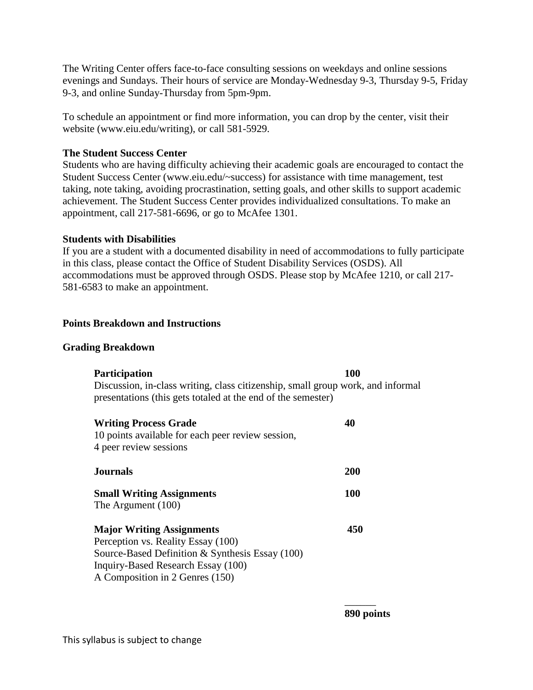The Writing Center offers face-to-face consulting sessions on weekdays and online sessions evenings and Sundays. Their hours of service are Monday-Wednesday 9-3, Thursday 9-5, Friday 9-3, and online Sunday-Thursday from 5pm-9pm.

To schedule an appointment or find more information, you can drop by the center, visit their website (www.eiu.edu/writing), or call 581-5929.

## **The Student Success Center**

Students who are having difficulty achieving their academic goals are encouraged to contact the Student Success Center (www.eiu.edu/~success) for assistance with time management, test taking, note taking, avoiding procrastination, setting goals, and other skills to support academic achievement. The Student Success Center provides individualized consultations. To make an appointment, call 217-581-6696, or go to McAfee 1301.

# **Students with Disabilities**

If you are a student with a documented disability in need of accommodations to fully participate in this class, please contact the Office of Student Disability Services (OSDS). All accommodations must be approved through OSDS. Please stop by McAfee 1210, or call 217- 581-6583 to make an appointment.

# **Points Breakdown and Instructions**

### **Grading Breakdown**

| <b>Participation</b><br>Discussion, in-class writing, class citizenship, small group work, and informal<br>presentations (this gets totaled at the end of the semester)                            | 100 |
|----------------------------------------------------------------------------------------------------------------------------------------------------------------------------------------------------|-----|
| <b>Writing Process Grade</b><br>10 points available for each peer review session,<br>4 peer review sessions                                                                                        | 40  |
| <b>Journals</b>                                                                                                                                                                                    | 200 |
| <b>Small Writing Assignments</b><br>The Argument (100)                                                                                                                                             | 100 |
| <b>Major Writing Assignments</b><br>Perception vs. Reality Essay (100)<br>Source-Based Definition & Synthesis Essay (100)<br>Inquiry-Based Research Essay (100)<br>A Composition in 2 Genres (150) | 450 |

\_\_\_\_\_\_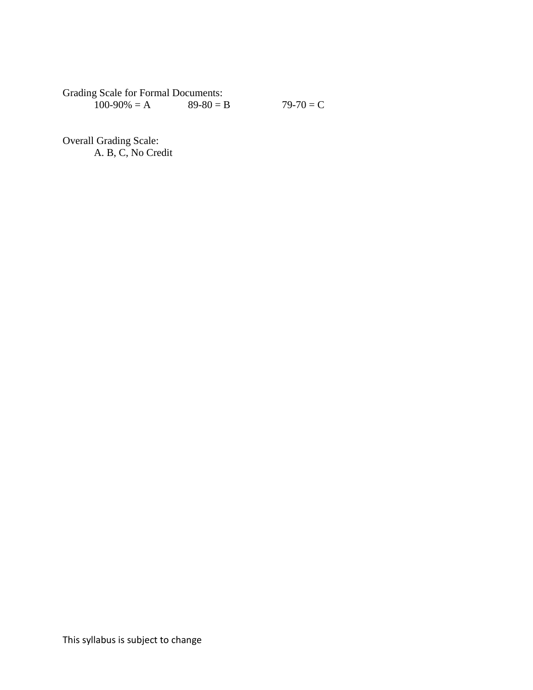Grading Scale for Formal Documents:<br> $100-90\% = A$  89-80 = B

 $79-70 = C$ 

Overall Grading Scale: A. B, C, No Credit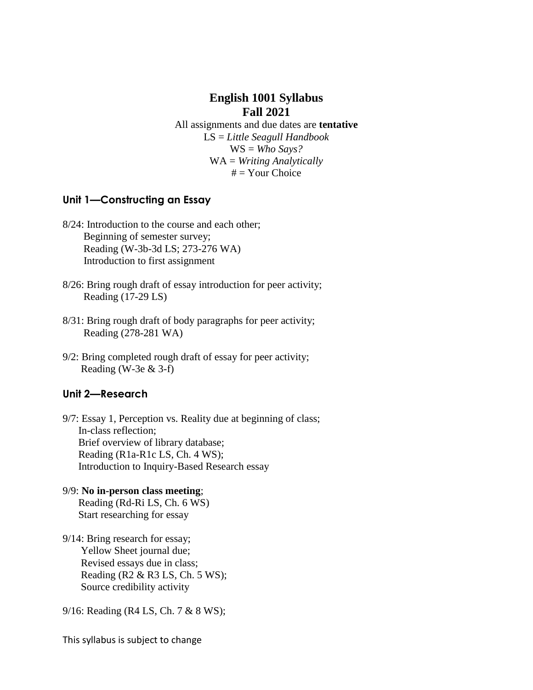# **English 1001 Syllabus Fall 2021**

All assignments and due dates are **tentative**  LS = *Little Seagull Handbook*  WS = *Who Says?*  WA = *Writing Analytically*  $#$  = Your Choice

# **Unit 1—Constructing an Essay**

- 8/24: Introduction to the course and each other; Beginning of semester survey; Reading (W-3b-3d LS; 273-276 WA) Introduction to first assignment
- 8/26: Bring rough draft of essay introduction for peer activity; Reading (17-29 LS)
- 8/31: Bring rough draft of body paragraphs for peer activity; Reading (278-281 WA)
- 9/2: Bring completed rough draft of essay for peer activity; Reading (W-3e  $&$  3-f)

### **Unit 2—Research**

9/7: Essay 1, Perception vs. Reality due at beginning of class; In-class reflection; Brief overview of library database; Reading (R1a-R1c LS, Ch. 4 WS); Introduction to Inquiry-Based Research essay

- 9/9: **No in-person class meeting**; Reading (Rd-Ri LS, Ch. 6 WS) Start researching for essay
- 9/14: Bring research for essay; Yellow Sheet journal due; Revised essays due in class; Reading (R2 & R3 LS, Ch. 5 WS); Source credibility activity

9/16: Reading (R4 LS, Ch. 7 & 8 WS);

This syllabus is subject to change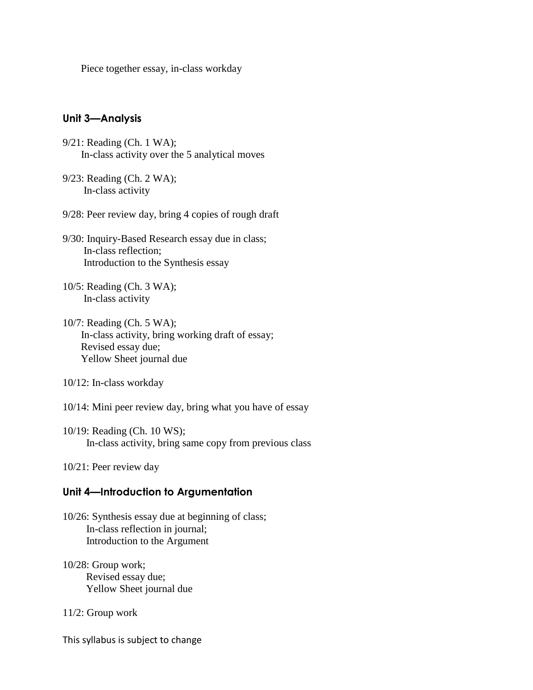Piece together essay, in-class workday

#### **Unit 3—Analysis**

- 9/21: Reading (Ch. 1 WA); In-class activity over the 5 analytical moves
- 9/23: Reading (Ch. 2 WA); In-class activity

9/28: Peer review day, bring 4 copies of rough draft

- 9/30: Inquiry-Based Research essay due in class; In-class reflection; Introduction to the Synthesis essay
- 10/5: Reading (Ch. 3 WA); In-class activity
- 10/7: Reading (Ch. 5 WA); In-class activity, bring working draft of essay; Revised essay due; Yellow Sheet journal due
- 10/12: In-class workday
- 10/14: Mini peer review day, bring what you have of essay
- 10/19: Reading (Ch. 10 WS); In-class activity, bring same copy from previous class
- 10/21: Peer review day

#### **Unit 4—Introduction to Argumentation**

- 10/26: Synthesis essay due at beginning of class; In-class reflection in journal; Introduction to the Argument
- 10/28: Group work; Revised essay due; Yellow Sheet journal due
- 11/2: Group work

This syllabus is subject to change